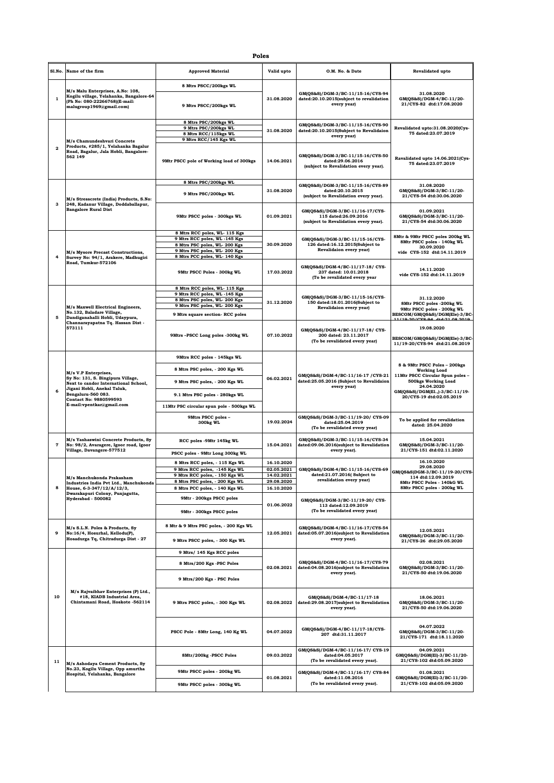|    | S1.No.                  | Name of the firm                                                                                                                                                                                                     | <b>Approved Material</b>                                         | Valid upto               | O.M. No. & Date                                                                                  | <b>Revalidated upto</b>                                                                                                                                                                           |
|----|-------------------------|----------------------------------------------------------------------------------------------------------------------------------------------------------------------------------------------------------------------|------------------------------------------------------------------|--------------------------|--------------------------------------------------------------------------------------------------|---------------------------------------------------------------------------------------------------------------------------------------------------------------------------------------------------|
| 1  |                         | M/s Malu Enterprises, A.No: 108,<br>Kogilu village, Yelahanka, Bangalore-64<br>(Ph No: 080-22266768)(E-mail:<br>malugroup1969@gmail.com)                                                                             | 8 Mtrs PSCC/200kgs WL                                            |                          |                                                                                                  |                                                                                                                                                                                                   |
|    |                         |                                                                                                                                                                                                                      | 9 Mtrs PSCC/200kgs WL                                            | 31.08.2020               | GM(QS&S)/DGM-3/BC-11/15-16/CYS-94<br>dated:20.10.2015(subject to revalidation<br>every year)     | 31.08.2020<br>GM(QS&S)/DGM-4/BC-11/20-<br>21/CYS-82 dtd:17.08.2020                                                                                                                                |
|    |                         |                                                                                                                                                                                                                      | 8 Mtrs PSC/200kgs WL                                             |                          | GM(QS&S)/DGM-3/BC-11/15-16/CYS-90                                                                | Revalidated upto:31.08.2020(Cys-                                                                                                                                                                  |
|    |                         |                                                                                                                                                                                                                      | 9 Mtrs PSC/200kgs WL<br>8 Mtrs RCC/115kgs WL                     | 31.08.2020               | dated:20.10.2015(Subject to Revalidaion                                                          | 75 dated:23.07.2019                                                                                                                                                                               |
|    |                         | M/s Chamundeshvari Concrete<br>Products, #285/1, Yelahanka Bagalur<br>Road, Bagalur, Jala Hobli, Bangalore-<br>562 149                                                                                               | 9 Mtrs RCC/145 Kgs WL                                            |                          | every year)                                                                                      |                                                                                                                                                                                                   |
|    | $\overline{\mathbf{2}}$ |                                                                                                                                                                                                                      | 9Mtr PSCC pole of Working load of 300kgs                         | 14.06.2021               | GM(QS&S)/DGM-3/BC-11/15-16/CYS-50<br>dated:29.06.2016<br>(subject to Revalidation every year).   | Ravalidated upto 14.06.2021(Cys-<br>75 dated:23.07.2019                                                                                                                                           |
|    |                         | M/s Stresscrete (India) Products, S.No:<br>248, Kadanur Village, Doddaballapur,<br><b>Bangalore Rural Dist</b>                                                                                                       | 8 Mtrs PSC/200kgs WL                                             |                          | GM(QS&S)/DGM-3/BC-11/15-16/CYS-89                                                                | 31.08.2020                                                                                                                                                                                        |
| з  |                         |                                                                                                                                                                                                                      | 9 Mtrs PSC/200kgs WL                                             | 31.08.2020               | dated:20.10.2015<br>(subject to Revalidation every year).                                        | GM(QS&S)/DGM-3/BC-11/20-<br>21/CYS-54 dtd:30.06.2020                                                                                                                                              |
|    |                         |                                                                                                                                                                                                                      | 9Mtr PSCC poles - 300kgs WL                                      | 01.09.2021               | GM(QS&S)/DGM-3/BC-11/16-17/CYS-<br>115 dated:26.09.2016<br>(subject to Revalidation every year). | 01.09.2021<br>GM(QS&S)/DGM-3/BC-11/20-<br>21/CYS-54 dtd:30.06.2020                                                                                                                                |
|    |                         |                                                                                                                                                                                                                      | 8 Mtrs RCC poles, WL- 115 Kgs                                    |                          |                                                                                                  |                                                                                                                                                                                                   |
|    |                         |                                                                                                                                                                                                                      | 9 Mtrs RCC poles, WL -145 Kgs                                    | 30.09.2020               | GM(QS&S)/DGM-3/BC-11/15-16/CYS-                                                                  | 8Mtr & 9Mtr PSCC poles 200kg WL<br>8Mtr PSCC poles - 140kg WL<br>30.09.2020<br>vide CYS-152 dtd:14.11.2019                                                                                        |
|    |                         |                                                                                                                                                                                                                      | 8 Mtrs PSC poles, WL-200 Kgs<br>9 Mtrs PSC poles, WL-200 Kgs     |                          | 126 dated:16.12.2015(Subject to<br>Revalidaion every year)                                       |                                                                                                                                                                                                   |
|    | $\overline{a}$          | M/s Mysore Precast Constructions,<br>Survey No: 94/1, Arakere, Madhugiri                                                                                                                                             | 8 Mtrs PCC poles, WL- 140 Kgs                                    |                          |                                                                                                  |                                                                                                                                                                                                   |
|    |                         | Road, Tumkur-572106                                                                                                                                                                                                  | 9Mtr PSCC Poles - 300kg WL                                       | 17.03.2022               | GM(QS&S)/DGM-4/BC-11/17-18/CYS-<br>237 dated: 10.01.2018<br>(To be revalidated every year        | 14.11.2020<br>vide CYS-152 dtd:14.11.2019                                                                                                                                                         |
|    |                         |                                                                                                                                                                                                                      | 8 Mtrs RCC poles, WL- 115 Kgs                                    |                          |                                                                                                  |                                                                                                                                                                                                   |
|    |                         |                                                                                                                                                                                                                      | 9 Mtrs RCC poles, WL -145 Kgs<br>8 Mtrs PSC poles, WL-200 Kgs    |                          | GM(QS&S)/DGM-3/BC-11/15-16/CYS-                                                                  | 31.12.2020<br>8Mtr PSCC poles -200kg WL<br>9Mtr PSCC poles - 200kg WL<br>BESCOM/GM(QS&S)/DGM(Ele)-3/BC-                                                                                           |
|    |                         | M/s Maxwell Electrical Engineers,                                                                                                                                                                                    | 9 Mtrs PSC poles, WL-200 Kgs                                     | 31.12.2020               | 150 dated:18.01.2016(Subject to<br>Revalidaion every year)                                       |                                                                                                                                                                                                   |
|    |                         | No.132, Baladare Village,                                                                                                                                                                                            | 9 Mtrs square section- RCC poles                                 |                          |                                                                                                  |                                                                                                                                                                                                   |
|    | 5                       | Dandiganahalli Hobli, Udaypura,<br>Channarayapatna Tq. Hassan Dist -                                                                                                                                                 |                                                                  |                          |                                                                                                  | 11/10 20/078 04 464-21.08 2010                                                                                                                                                                    |
|    |                         | 573111                                                                                                                                                                                                               | 9Mtrs-PSCC Long poles -300kg WL                                  | 07.10.2022               | GM(QS&S)/DGM-4/BC-11/17-18/CYS-<br>200 dated: 23.11.2017<br>(To be revalidated every year)       | 19.08.2020<br>BESCOM/GM(QS&S)/DGM(Ele)-3/BC<br>11/19-20/CYS-94 dtd:21.08.2019                                                                                                                     |
|    |                         |                                                                                                                                                                                                                      | 9Mtrs RCC poles - 145kgs WL                                      |                          |                                                                                                  |                                                                                                                                                                                                   |
|    |                         | M/s V.P Enterprises,<br>Sy No: 131, S. Bingipura Village,<br>Next to candor International School,<br>Jigani Hobli, Anekal Taluk,<br>Bengaluru-560 083.<br><b>Contact No: 9880599593</b><br>E-mail:vpentkar@gmail.com | 8 Mtrs PSC poles, - 200 Kgs WL                                   | 06.02.2021               | GM(QS&S)/DGM-4/BC-11/16-17 /CYS-21<br>dated:25.05.2016 (Subject to Revalidaion<br>every year)    | 8 & 9Mtr PSCC Poles - 200kgs<br><b>Working Load</b><br>11Mtr PSCC Circular Spun poles -<br><b>500kgs Working Load</b><br>24.04.2020<br>GM(QS&S)/DGM(E1.,)-3/BC-11/19-<br>20/CYS-19 dtd:02.05.2019 |
|    |                         |                                                                                                                                                                                                                      | 9 Mtrs PSC poles, - 200 Kgs WL                                   |                          |                                                                                                  |                                                                                                                                                                                                   |
|    | 6                       |                                                                                                                                                                                                                      | 9.1 Mtrs PSC poles - 280kgs WL                                   |                          |                                                                                                  |                                                                                                                                                                                                   |
|    |                         |                                                                                                                                                                                                                      | 11Mtr PSC circular spun pole - 500kgs WL                         |                          |                                                                                                  |                                                                                                                                                                                                   |
|    |                         |                                                                                                                                                                                                                      | 9Mtrs PSCC poles -                                               |                          | GM(QS&S)/DGM-3/BC-11/19-20/ CYS-09                                                               |                                                                                                                                                                                                   |
|    |                         |                                                                                                                                                                                                                      | 300kg WL                                                         | 19.02.2024               | dated:25.04.2019<br>(To be revalidated every year)                                               | To be applied for revalidation<br>dated: 25.04.2020                                                                                                                                               |
|    | $\pmb{7}$               | M/s Yashaswini Concrete Products, Sy<br>No: 98/2, Avaragere, Igoor road, Igoor<br>Village, Davangere-577512                                                                                                          | RCC poles -9Mtr 145kg WL                                         | 15.04.2021               | GM(QS&S)/DGM-3/BC-11/15-16/CYS-34<br>dated:09.06.2016(subject to Revalidation<br>every year).    | 15.04.2021<br>GM(QS&S)/DGM-3/BC-11/20-<br>21/CYS-151 dtd:02.11.2020                                                                                                                               |
|    |                         |                                                                                                                                                                                                                      | PSCC poles - 9Mtr Long 300kg WL                                  |                          |                                                                                                  |                                                                                                                                                                                                   |
|    |                         |                                                                                                                                                                                                                      | 8 Mtrs RCC poles, - 115 Kgs WL                                   | 16.10.2020               |                                                                                                  | 16.10.2020<br>29.08.2020                                                                                                                                                                          |
|    |                         |                                                                                                                                                                                                                      | 9 Mtrs RCC poles, -145 Kgs WL                                    | 02.05.2021               | GM(QS&S)/DGM-4/BC-11/15-16/CYS-69<br>dated:21.07.2016( Subject to<br>revalidation every year)    | GM(QS&S)DGM-3/BC-11/19-20/CYS<br>114 dtd:12.09.2019<br>8Mtr PSCC Poles - 140kG WL<br>8Mtr PSCC poles - 200kg WL                                                                                   |
|    |                         | M/s Manchukonda Prakasham<br>Industries India Pvt Ltd., Manchukonda                                                                                                                                                  | 9 Mtrs RCC poles, - 150 Kgs WL<br>8 Mtrs PSC poles, - 200 Kgs WL | 14.02.2021<br>29.08.2020 |                                                                                                  |                                                                                                                                                                                                   |
|    | 8                       | House, 6-3-347/12/A/12/3,                                                                                                                                                                                            | 8 Mtrs PCC poles, - 140 Kgs WL                                   | 16.10.2020               |                                                                                                  |                                                                                                                                                                                                   |
|    |                         | Dwarakapuri Colony, Punjagutta,<br>Hyderabad - 500082                                                                                                                                                                | 9Mtr - 200kgs PSCC poles                                         |                          |                                                                                                  |                                                                                                                                                                                                   |
|    |                         |                                                                                                                                                                                                                      |                                                                  | 01.06.2022               | GM(QS&S)/DGM-3/BC-11/19-20/ CYS-<br>113 dated:12.09.2019<br>(To be revalidated every year)       |                                                                                                                                                                                                   |
|    |                         |                                                                                                                                                                                                                      | 9Mtr - 300kgs PSCC poles                                         |                          |                                                                                                  |                                                                                                                                                                                                   |
|    | 9                       | M/s S.L.N. Poles & Products, Sy<br>No:16/4, Hosurhal, Kellodu(P).<br>Hosadurga Tq, Chitradurga Dist - 27<br>M/s Rajvaibhav Enterprises (P) Ltd.,<br>#18, KIADB Industrial Area,<br>Chintamani Road, Hoskote -562114  | 8 Mtr & 9 Mtrs PSC poles, - 200 Kgs WL                           | 12.05.2021               | GM(QS&S)/DGM-4/BC-11/16-17/CYS-54<br>dated:05.07.2016(subject to Revalidation<br>every year).    | 12.05.2021<br>GM(QS&S)/DGM-3/BC-11/20-                                                                                                                                                            |
|    |                         |                                                                                                                                                                                                                      | 9 Mtrs PSCC poles, - 300 Kgs WL                                  |                          |                                                                                                  | 21/CYS-26 dtd:29.05.2020                                                                                                                                                                          |
| 10 |                         |                                                                                                                                                                                                                      | 9 Mtrs/ 145 Kgs RCC poles                                        | 02.08.2021               |                                                                                                  |                                                                                                                                                                                                   |
|    |                         |                                                                                                                                                                                                                      | 8 Mtrs/200 Kgs -PSC Poles                                        |                          | GM(QS&S)/DGM-4/BC-11/16-17/CYS-79<br>dated:04.08.2016(subject to Revalidation<br>every year).    | 02.08.2021<br>GM(QS&S)/DGM-3/BC-11/20-<br>21/CYS-50 dtd:19.06.2020                                                                                                                                |
|    |                         |                                                                                                                                                                                                                      | 9 Mtrs/200 Kgs - PSC Poles                                       |                          |                                                                                                  |                                                                                                                                                                                                   |
|    |                         |                                                                                                                                                                                                                      | 9 Mtrs PSCC poles, - 300 Kgs WL                                  | 02.08.2022               | GM(QS&S)/DGM-4/BC-11/17-18<br>dated:29.08.2017(subject to Revalidation<br>every year).           | 18.06.2021<br>GM(QS&S)/DGM-3/BC-11/20-<br>21/CYS-50 dtd:19.06.2020                                                                                                                                |
|    |                         |                                                                                                                                                                                                                      | PSCC Pole - 8Mtr Long, 140 Kg WL                                 | 04.07.2022               | GM(QS&S)/DGM-4/BC-11/17-18/CYS-<br>207 dtd:31.11.2017                                            | 04.07.2022<br>GM(QS&S)/DGM-3/BC-11/20-<br>21/CYS-171 dtd:18.11.2020                                                                                                                               |
| 11 |                         | M/s Ashodaya Cement Products, Sy                                                                                                                                                                                     | 8Mtr/200kg -PSCC Poles                                           | 09.03.2022               | GM(QS&S)/DGM-4/BC-11/16-17/ CYS-19<br>dated:04.05.2017<br>(To be revalidated every year).        | 04.09.2021<br>GM(QS&S)/DGM(El)-3/BC-11/20-<br>21/CYS-102 dtd:05.09.2020                                                                                                                           |
|    |                         | No.23, Kogilu Village, Opp amurtha<br>Hospital, Yelahanka, Bangalore                                                                                                                                                 | 9Mtr PSCC poles - 200kg WL                                       | 01.08.2021               | GM(QS&S)/DGM-4/BC-11/16-17/ CYS-84                                                               | 01.08.2021                                                                                                                                                                                        |
|    |                         |                                                                                                                                                                                                                      | 9Mtr PSCC poles - 300kg WL                                       |                          | dated:11.08.2016<br>(To be revalidated every year).                                              | GM(QS&S)/DGM(El)-3/BC-11/20-<br>21/CYS-102 dtd:05.09.2020                                                                                                                                         |
|    |                         |                                                                                                                                                                                                                      |                                                                  |                          |                                                                                                  |                                                                                                                                                                                                   |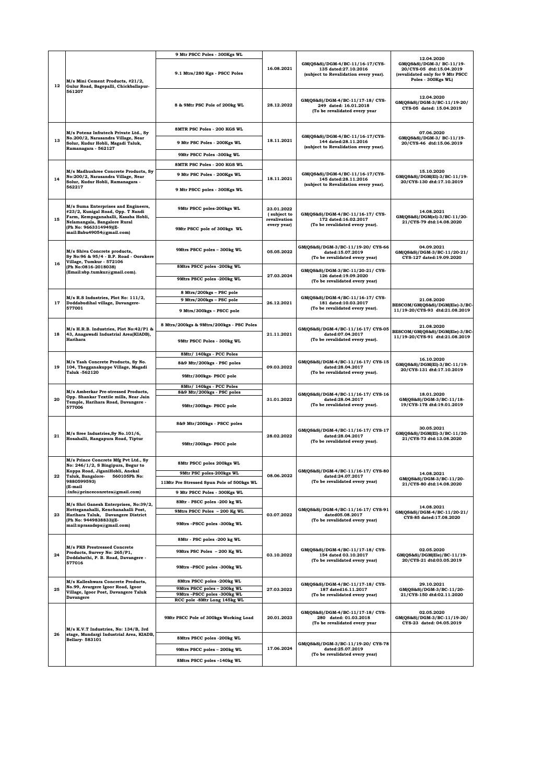|            |                                                                                                                                                                                                        | 9 Mtr PSCC Poles - 300Kgs WL                                          |                                                          |                                                                                                                              |                                                                                                                               |
|------------|--------------------------------------------------------------------------------------------------------------------------------------------------------------------------------------------------------|-----------------------------------------------------------------------|----------------------------------------------------------|------------------------------------------------------------------------------------------------------------------------------|-------------------------------------------------------------------------------------------------------------------------------|
| 12         | M/s Mini Cement Products, #21/2,<br>Gulur Road, Bagepalli, Chickballapur-<br>561207                                                                                                                    | 9.1 Mtrs/280 Kgs - PSCC Poles                                         | 16.08.2021                                               | GM(QS&S)/DGM-4/BC-11/16-17/CYS-<br>135 dated:27.10.2016<br>(subject to Revalidation every year).                             | 12.04.2020<br>GM(QS&S)/DGM-3/ BC-11/19-<br>20/CYS-05 dtd:15.04.2019<br>(revalidated only for 9 Mtr PSCC<br>Poles - 300Kgs WL) |
|            |                                                                                                                                                                                                        | 8 & 9Mtr PSC Pole of 200kg WL                                         | 28.12.2022                                               | GM(QS&S)/DGM-4/BC-11/17-18/CYS-<br>249 dated: 16.01.2018<br>(To be revalidated every year                                    | 12.04.2020<br>GM(QS&S)/DGM-3/BC-11/19-20/<br>CYS-05 dated: 15.04.2019                                                         |
|            | M/s Potenz Infratech Private Ltd., Sy<br>No.200/2, Narasandra Village, Near<br>Solur, Kudur Hobli, Magadi Taluk,<br>Ramanagara - 562127                                                                | <b>8MTR PSC Poles - 200 KGS WL</b>                                    | 18.11.2021                                               | GM(QS&S)/DGM-4/BC-11/16-17/CYS-<br>144 dated:28.11.2016<br>(subject to Revalidation every year).                             | 07.06.2020<br>GM(QS&S)/DGM-3/ BC-11/19-<br>20/CYS-46 dtd:15.06.2019                                                           |
| 13         |                                                                                                                                                                                                        | 9 Mtr PSC Poles - 200Kgs WL                                           |                                                          |                                                                                                                              |                                                                                                                               |
|            |                                                                                                                                                                                                        | 9Mtr PSCC Poles -300kg WL                                             |                                                          |                                                                                                                              |                                                                                                                               |
|            | M/s Madhushree Concrete Products, Sy<br>No:200/2, Narasandra Village, Near<br>Solur, Kudur Hobli, Ramanagara -<br>562217                                                                               | <b>8MTR PSC Poles - 200 KGS WL</b>                                    | 18.11.2021                                               | GM(QS&S)/DGM-4/BC-11/16-17/CYS-<br>145 dated:28.11.2016<br>(subject to Revalidation every year).                             | 15.10.2020<br>GM(QS&S)/DGM(El)-3/BC-11/19-<br>20/CYS-130 dtd:17.10.2019                                                       |
|            |                                                                                                                                                                                                        | 9 Mtr PSC Poles - 200Kgs WL                                           |                                                          |                                                                                                                              |                                                                                                                               |
| 14         |                                                                                                                                                                                                        | 9 Mtr PSCC poles - 300Kgs WL                                          |                                                          |                                                                                                                              |                                                                                                                               |
|            | M/s Suma Enterprises and Engineers,<br>#23/2, Kunigal Road, Opp. T Nandi<br>Farm, Kempaganahalli, Kasaba Hobli,<br>Nelamangala, Bangalore Rural<br>(Ph No: 9663314949)(E-<br>mail:Babu49054@gmail.com) | 9Mtr PSCC poles-200kgs WL                                             | 23.01.2022<br>(subject to<br>revalivation<br>every year) | GM(QS&S)/DGM-4/BC-11/16-17/ CYS-<br>172 dated:16.02.2017<br>(To be revalidated every year).                                  | 14.08.2021<br>GM(QS&S)/DGM(el)-3/BC-11/20-<br>21/CYS-79 dtd:14.08.2020                                                        |
| 15         |                                                                                                                                                                                                        | 9Mtr PSCC pole of 300kgs WL                                           |                                                          |                                                                                                                              |                                                                                                                               |
|            | M/s Shiva Concrete products,<br>Sy No:96 & 95/4 - B.P. Road - Oorukere<br>Village, Tumkur - 572106                                                                                                     | 9Mtrs PSCC poles - 300kg WL                                           | 05.05.2022                                               | GM(QS&S)/DGM-3/BC-11/19-20/ CYS-66<br>dated:15.07.2019<br>(To be revalidated every year)                                     | 04.09.2021<br>GM(QS&S)/DGM-3/BC-11/20-21/<br>CYS-127 dated:19.09.2020                                                         |
| 16         | (Ph No:0816-2018038)                                                                                                                                                                                   | 8Mtrs PSCC poles -200kg WL                                            |                                                          |                                                                                                                              |                                                                                                                               |
|            | (Email:sbp.tumkur@gmail.com).                                                                                                                                                                          | 9Mtrs PSCC poles -200kg WL                                            | 27.03.2024                                               | GM(QS&S)/DGM-3/BC-11/20-21/ CYS-<br>126 dated:19.09.2020<br>(To be revalidated every year)                                   |                                                                                                                               |
|            | M/s R.S Industries, Plot No: 111/2,                                                                                                                                                                    | 8 Mtrs/200kgs - PSC pole                                              |                                                          | GM(QS&S)/DGM-4/BC-11/16-17/ CYS-                                                                                             |                                                                                                                               |
| 17         | Doddabudihal village, Davangere-                                                                                                                                                                       | 9 Mtrs/200kgs - PSC pole                                              | 26.12.2021                                               | 181 dated:10.03.2017                                                                                                         | 21.08.2020<br>BESCOM/GM(QS&S)/DGM(Ele)-3/BC-                                                                                  |
|            | 577001<br>M/s H.R.B. Industries, Plot No:42/P1 &<br>43, Anagawadi Industrial Area(KIADB),<br>Harihara                                                                                                  | 9 Mtrs/300kgs - PSCC pole<br>8 Mtrs/200kgs & 9Mtrs/200kgs - PSC Poles | 21.11.2021                                               | (To be revalidated every year).<br>GM(QS&S)/DGM-4/BC-11/16-17/ CYS-05<br>dated:07.04.2017<br>(To be revalidated every year). | 11/19-20/CYS-93 dtd:21.08.2019<br>21.08.2020<br>BESCOM/GM(QS&S)/DGM(Ele)-3/BC-<br>11/19-20/CYS-91 dtd:21.08.2019              |
| 18         |                                                                                                                                                                                                        | 9Mtr PSCC Poles - 300kg WL                                            |                                                          |                                                                                                                              |                                                                                                                               |
|            |                                                                                                                                                                                                        | 8Mtr/ 140kgs - PCC Poles                                              | 09.03.2022                                               | GM(QS&S)/DGM-4/BC-11/16-17/ CYS-15<br>dated:28.04.2017<br>(To be revalidated every year).                                    | 16.10.2020<br>GM(QS&S)/DGM(El)-3/BC-11/19-<br>20/CYS-131 dtd:17.10.2019                                                       |
| 19         | M/s Yash Concrete Products, Sy No.<br>104, Thegganakuppe Village, Magadi<br>Taluk -562120                                                                                                              | 8&9 Mtr/200kgs - PSC poles<br>9Mtr/300kgs- PSCC pole                  |                                                          |                                                                                                                              |                                                                                                                               |
|            |                                                                                                                                                                                                        | 8Mtr/ 140kgs - PCC Poles                                              |                                                          |                                                                                                                              |                                                                                                                               |
|            | M/s Amberkar Pre-stressed Products,                                                                                                                                                                    | 8&9 Mtr/200kgs - PSC poles                                            | 31.01.2022                                               | GM(QS&S)/DGM-4/BC-11/16-17/ CYS-16<br>dated:28.04.2017<br>(To be revalidated every year).                                    | 18.01.2020<br>GM(QS&S)/DGM-3/BC-11/18-<br>19/CYS-178 dtd:19.01.2019                                                           |
| 20         | Opp. Shankar Textile mills, Near Jain<br>Temple, Harihara Road, Davangere -<br>577006                                                                                                                  | 9Mtr/300kgs- PSCC pole                                                |                                                          |                                                                                                                              |                                                                                                                               |
|            | M/s Sree Industries, Sy No. 101/6,<br>Hosahalli, Rangapura Road, Tiptur                                                                                                                                | 8&9 Mtr/200kgs - PSCC poles                                           | 28.02.2022                                               | GM(QS&S)/DGM-4/BC-11/16-17/ CYS-17<br>dated:28.04.2017<br>(To be revalidated every year).                                    | 30.05.2021<br>GM(QS&S)/DGM(El)-3/BC-11/20-<br>21/CYS-73 dtd:13.08.2020                                                        |
| 21         |                                                                                                                                                                                                        | 9Mtr/300kgs- PSCC pole                                                |                                                          |                                                                                                                              |                                                                                                                               |
|            | M/s Prince Concrete Mfg Pvt Ltd., Sy<br>No: 246/1/2, S Bingipura, Begur to                                                                                                                             | 8Mtr PSCC poles 200kgs WL                                             | 08.06.2022                                               |                                                                                                                              | 14.08.2021                                                                                                                    |
| 22         | Koppa Road, JiganiHobli, Anekal<br>Taluk, Bangalore- 560105Ph No:<br>9880599593)                                                                                                                       | 9Mtr PSC poles-200kgs WL                                              |                                                          | GM(QS&S)/DGM-4/BC-11/16-17/ CYS-80<br>dated:24.07.2017                                                                       |                                                                                                                               |
|            |                                                                                                                                                                                                        | 11Mtr Pre Stressed Spun Pole of 500kgs WL                             |                                                          | (To be revalidated every year)                                                                                               | GM(QS&S)/DGM-3/BC-11/20-<br>21/CYS-80 dtd:14.08.2020                                                                          |
|            | (E-mail<br>:info@princeconretes@gmail.com)                                                                                                                                                             | 9 Mtr PSCC Poles - 300Kgs WL                                          |                                                          |                                                                                                                              |                                                                                                                               |
|            | M/s Shri Ganesh Enterprises, No:39/2,                                                                                                                                                                  | 8Mtr - PSCC poles -200 kg WL                                          |                                                          |                                                                                                                              |                                                                                                                               |
| 23         | Hotteganahalli, Kenchanahalli Post,<br>Harihara Taluk, Davangere District                                                                                                                              | 9Mtrs PSCC Poles - 200 Kg WL                                          | 03.07.2022                                               | GM(QS&S)/DGM-4/BC-11/16-17/ CYS-91<br>dated05.08.2017                                                                        | 14.08.2021<br>GM(QS&S)/DGM-4/BC-11/20-21/                                                                                     |
|            | (Ph No: 9449838833)(E-<br>mail:nprasadsps@gmail.com)                                                                                                                                                   | 9Mtrs-PSCC poles -300kg WL                                            |                                                          | (To be revalidated every year)                                                                                               | CYS-85 dated:17.08.2020                                                                                                       |
|            | M/s PKS Prestressed Concrete<br>Products, Survey No: 265/P1,<br>Doddabathi, P. B. Road, Davangere -<br>577016                                                                                          | 8Mtr - PSC poles -200 kg WL                                           | 03.10.2022                                               |                                                                                                                              |                                                                                                                               |
| 24         |                                                                                                                                                                                                        | 9Mtrs PSC Poles - 200 Kg WL                                           |                                                          | GM(QS&S)/DGM-4/BC-11/17-18/CYS-<br>154 dated 03.10.2017<br>(To be revalidated every year)                                    | 02.05.2020<br>GM(QS&S)/DGM(Ele)/BC-11/19-<br>20/CYS-21 dtd:03.05.2019                                                         |
|            |                                                                                                                                                                                                        | 9Mtrs-PSCC poles -300kg WL                                            |                                                          |                                                                                                                              |                                                                                                                               |
|            | M/s Kalleshwara Concrete Products.<br>No.99, Avargere Igoor Road, Igoor<br>Village, Igoor Post, Davangere Taluk<br><b>Davangere</b>                                                                    | 8Mtrs PSCC poles -200kg WL                                            | 27.03.2022                                               | GM(QS&S)/DGM-4/BC-11/17-18/CYS-<br>187 dated16.11.2017<br>(To be revalidated every year)                                     | 29.10.2021<br>GM(QS&S)/DGM-3/BC-11/20-<br>21/CYS-150 dtd:02.11.2020                                                           |
| 25         |                                                                                                                                                                                                        | 9Mtrs PSCC poles - 200kg WL<br>9Mtrs-PSCC poles -300kg WL             |                                                          |                                                                                                                              |                                                                                                                               |
|            |                                                                                                                                                                                                        | RCC pole -8Mtr Long 145kg WL                                          |                                                          |                                                                                                                              |                                                                                                                               |
|            | M/s K.V.T Industries, No: 134/B, 3rd<br>stage, Mundargi Industrial Area, KIADB,<br><b>Bellary-583101</b>                                                                                               | 9Mtr PSCC Pole of 300kgs Working Load                                 | 20.01.2023                                               | GM(QS&S)/DGM-4/BC-11/17-18/CYS-<br>280 dated: 01.03.2018<br>(To be revalidated every year                                    | 02.05.2020<br>GM(QS&S)/DGM-3/BC-11/19-20/<br>CYS-23 dated: 04.05.2019                                                         |
| ${\bf 26}$ |                                                                                                                                                                                                        | 8Mtrs PSCC poles -200kg WL                                            | 17.06.2024                                               | GM(QS&S)/DGM-3/BC-11/19-20/ CYS-78<br>dated:25.07.2019<br>(To be revalidated every year)                                     |                                                                                                                               |
|            |                                                                                                                                                                                                        | 9Mtrs PSCC poles - 200kg WL                                           |                                                          |                                                                                                                              |                                                                                                                               |
|            |                                                                                                                                                                                                        | 8Mtrs PSCC poles -140kg WL                                            |                                                          |                                                                                                                              |                                                                                                                               |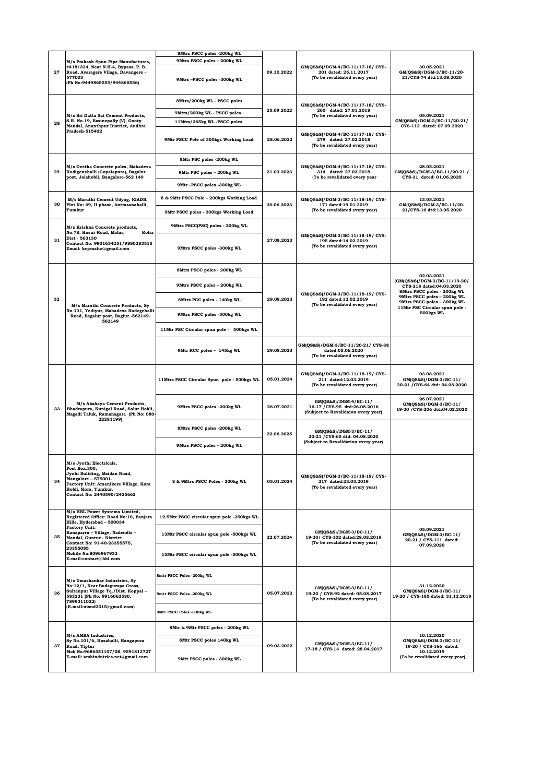|    |                                                                                                                                                                                                 | 8Mtrs PSCC poles -200kg WL                                |            |                                                                                               |                                                                                                                                          |
|----|-------------------------------------------------------------------------------------------------------------------------------------------------------------------------------------------------|-----------------------------------------------------------|------------|-----------------------------------------------------------------------------------------------|------------------------------------------------------------------------------------------------------------------------------------------|
| 27 | M/s Prakash Spun Pipe Manufactures,<br>#418/324, Near N.H-4, Bypass, P. B.<br>Road, Avaragere Vilage, Davangere -<br>577003<br>(Ph No:9449865555/944865556)                                     | 9Mtrs PSCC poles - 200kg WL<br>9Mtrs-PSCC poles -300kg WL | 09.10.2022 | GM(QS&S)/DGM-4/BC-11/17-18/CYS-<br>201 dated: 25.11.2017<br>(To be revalidated every year)    | 30.05.2021<br>GM(QS&S)/DGM-3/BC-11/20-<br>21/CYS-74 dtd:13.08.2020                                                                       |
|    | M/s Sri Datta Sai Cement Products,<br>S.R. No.19, Basinepally (V), Gooty<br>Mandal, Ananthpur District, Andhra<br>Pradesh-515402                                                                | 8Mtrs/200kg WL - PSCC poles                               | 25.09.2022 | GM(QS&S)/DGM-4/BC-11/17-18/CYS-<br>260 dated: 27.01.2018<br>(To be revalidated every year)    | 05.09.2021                                                                                                                               |
|    |                                                                                                                                                                                                 | 9Mtrs/200kg WL - PSCC poles                               |            |                                                                                               |                                                                                                                                          |
| 28 |                                                                                                                                                                                                 | 11Mtrs/365kg WL-PSCC poles                                |            |                                                                                               | GM(QS&S)/DGM-3/BC-11/20-21/<br>CYS-112 dated: 07.09.2020                                                                                 |
|    |                                                                                                                                                                                                 | 9Mtr PSCC Pole of 300kgs Working Load                     | 28.06.2022 | GM(QS&S)/DGM-4/BC-11/17-18/CYS-<br>279 dated: 27.02.2018<br>(To be revalidated every year)    |                                                                                                                                          |
|    | M/s Geetha Concrete poles, Mahadeva<br>Kodigenahalli (Gopalapura), Bagalur<br>post, Jalahobli, Bangalore-562 149                                                                                | 8Mtr PSC poles -200kg WL                                  | 21.03.2023 | GM(QS&S)/DGM-4/BC-11/17-18/CYS-<br>314 dated: 27.03.2018<br>(To be revalidated every year     | 28.05.2021                                                                                                                               |
| 29 |                                                                                                                                                                                                 | 9Mtr PSC poles - 200kg WL                                 |            |                                                                                               | GM(QS&S)/DGM-3/BC-11/20-21 /<br>CYS-31 dated: 01.06.2020                                                                                 |
|    |                                                                                                                                                                                                 | 9Mtr-PSCC poles -300kg WL                                 |            |                                                                                               |                                                                                                                                          |
| 30 | M/s Maruthi Cement Udyog, KIADB,                                                                                                                                                                | 8 & 9Mtr PSCC Pole - 200kgs Working Load                  | 30.06.2023 | GM(QS&S)/DGM-3/BC-11/18-19/CYS-                                                               | 13.05.2021<br>GM(QS&S)/DGM-3/BC-11/20-                                                                                                   |
|    | Plot No: 49, II phase, Antrasanahalli,<br>Tumkur                                                                                                                                                | 9Mtr PSCC poles - 300kgs Working Load                     |            | 171 dated:19.01.2019<br>(To be revalidated every year)                                        | 21/CYS-16 dtd:13.05.2020                                                                                                                 |
|    | M/s Krishna Concrete products,                                                                                                                                                                  | 9Mtrs PSCC(PSC) poles - 200kg WL                          |            |                                                                                               |                                                                                                                                          |
| 31 | No.78, Hosur Road, Malur,<br>Kolar<br>Dist - 563130<br>Contact No: 9901654251/9880283515<br>Email: kcpmalur@gmail.com                                                                           | 9Mtrs PSCC poles -300kg WL                                | 27.08.2023 | GM(QS&S)/DGM-3/BC-11/18-19/CYS-<br>195 dated:14.02.2019<br>(To be revalidated every year)     |                                                                                                                                          |
|    |                                                                                                                                                                                                 | 8Mtrs PSCC poles - 200kg WL                               |            |                                                                                               |                                                                                                                                          |
|    |                                                                                                                                                                                                 | 9Mtrs PSCC poles - 200kg WL                               |            |                                                                                               | 02.03.2021<br>(GM(QS&S)/DGM-3/BC-11/19-20/<br>CYS-218 dated:04.03.2020                                                                   |
| 32 |                                                                                                                                                                                                 | 8Mtrs PCC poles - 140kg WL                                | 29.08.2023 | GM(QS&S)/DGM-3/BC-11/18-19/CYS-<br>192 dated:12.02.2019                                       | 8Mtrs PSCC poles - 200kg WL<br>9Mtrs PSCC poles - 200kg WL<br>9Mtrs PSCC poles - 300kg WL<br>11Mtr PSC Circular spun pole -<br>500kgs WL |
|    | M/s Maruthi Concrete Products, Sy<br>No.131, Yediyur, Mahadeva Kodegehalli<br>Road, Bagalur post, Baglur -562149-                                                                               | 9Mtrs PSCC poles -300kg WL                                |            | (To be revalidated every year)                                                                |                                                                                                                                          |
|    | 562149                                                                                                                                                                                          | 11Mtr PSC Circular spun pole - 500kgs WL                  |            |                                                                                               |                                                                                                                                          |
|    |                                                                                                                                                                                                 | 9Mtr RCC poles - 145kg WL                                 | 29.08.2023 | GM(QS&S)/DGM-3/BC-11/20-21/ CYS-38<br>dated:05.06.2020<br>(To be revalidated every year)      |                                                                                                                                          |
|    | M/s Akshaya Cement Products,<br>Bhadrapura, Kunigal Road, Solur Hobli,<br>Magadi Taluk, Ramanagara (Ph No: 080-<br>222811991                                                                    | 11Mtrs PSCC Circular Spun pole - 500kgs WL                | 05.01.2024 | GM(QS&S)/DGM-3/BC-11/18-19/CYS-<br>211 dated:12.03.2019<br>(To be revalidated every year)     | 03.08.2021<br>GM(QS&S)/DGM-3/BC-11/<br>20-21 / CYS-64 dtd: 04.08.2020                                                                    |
| 33 |                                                                                                                                                                                                 | 9Mtrs PSCC poles -300kg WL                                | 26.07.2021 | GM(QS&S)/DGM-4/BC-11/<br>16-17 / CYS-95 dtd:26.08.2016<br>(Subject to Revalidaion every year) | 26.07.2021<br>GM(QS&S)/DGM-3/BC-11/<br>19-20 / CYS-206 dtd:04.02.2020                                                                    |
|    |                                                                                                                                                                                                 | 8Mtrs PSCC poles -200kg WL                                | 22.06.2025 | GM(QS&S)/DGM-3/BC-11/<br>20-21 / CYS-65 dtd: 04.08.2020                                       |                                                                                                                                          |
|    |                                                                                                                                                                                                 | 9Mtrs PSCC poles - 200kg WL                               |            | (Subject to Revalidation every year)                                                          |                                                                                                                                          |
| 34 | M/s Jyothi Electricals,<br>Post Box.300,<br>Jyohi Buliding, Maidan Road,<br>Mangalore - 575001.<br>Factory Unit: Amanikere Village, Kora<br>Hobli, Kora, Tumkur.<br>Contact No: 2440590/2425662 | 8 & 9Mtrs PSCC Poles - 200kg WL                           | 05.01.2024 | GM(QS&S)/DGM-3/BC-11/18-19/CYS-<br>217 dated:23.03.2019<br>(To be revalidated every year)     |                                                                                                                                          |
|    | M/s HBL Power Systems Limited,<br>Registered Office: Road No:10, Banjara<br>Hills, Hyderabad - 500034                                                                                           | 12.5Mtr PSCC circular spun pole -350kgs WL                |            |                                                                                               |                                                                                                                                          |
| 35 | <b>Factory Unit:</b><br>Kanaparru - Village, Nadendla -<br>Mandal, Guntur - District<br>Contact No: 91-40-23355575,<br>23355085<br><b>Mobile No:8096967933</b><br>E-mail:contact@hbl.com        | 13Mtr PSCC circular spun pole -500kgs WL                  | 22.07.2024 | GM(QS&S)/DGM-3/BC-11/<br>19-20/ CYS-102 dated:28.08.2019<br>(To be revalidated every year)    | 05.09.2021<br>GM(QS&S)/DGM-3/BC-11/<br>20-21 / CYS-111 dated:                                                                            |
|    |                                                                                                                                                                                                 | 15Mtr PSCC circular spun pole -500kgs WL                  |            |                                                                                               | 07.09.2020                                                                                                                               |
|    | M/s Umashankar Industries, Sy<br>No:12/1, Near Budagumpa Cross,<br>Sultanpur Village Tq./Dist. Koppal-<br>583231 (Ph No: 9916062580,<br>7899311022)<br>(E-mail:uisnd2015@gmail.com)             | 8mtr PSCC Poles -200kg WL                                 | 05.07.2022 | GM(QS&S)/DGM-3/BC-11/<br>19-20 / CYS-92 dated: 05.08.2017<br>(To be revalidated every year)   | 31.12.2020<br>GM(QS&S)/DGM-3/BC-11/<br>19-20 / CYS-185 dated: 31.12.2019                                                                 |
| 36 |                                                                                                                                                                                                 | 9mtr PSCC Poles -200kg WL                                 |            |                                                                                               |                                                                                                                                          |
|    |                                                                                                                                                                                                 | 9Mtr PSCC Poles -300kg WL                                 |            |                                                                                               |                                                                                                                                          |
|    | M/s AMBA Industries,<br>Sy No.101/6, Hosahalli, Rangapura<br>Road, Tiptur<br>Mob No:9686551107/08, 9591813727<br>E-mail: ambindutries.net@gmail.com                                             | 8Mtr & 9Mtr PSCC poles - 200kg WL                         | 09.03.2022 | GM(QS&S)/DGM-3/BC-11/<br>17-18 / CYS-14 dated: 28.04.2017                                     | 10.12.2020                                                                                                                               |
| 37 |                                                                                                                                                                                                 | 8Mtr PSCC poles 140kg WL                                  |            |                                                                                               | GM(QS&S)/DGM-3/BC-11/<br>19-20 / CYS-166 dated:                                                                                          |
|    |                                                                                                                                                                                                 | 9Mtr PSCC poles - 300kg WL                                |            |                                                                                               | 10.12.2019<br>(To be revalidated every year)                                                                                             |